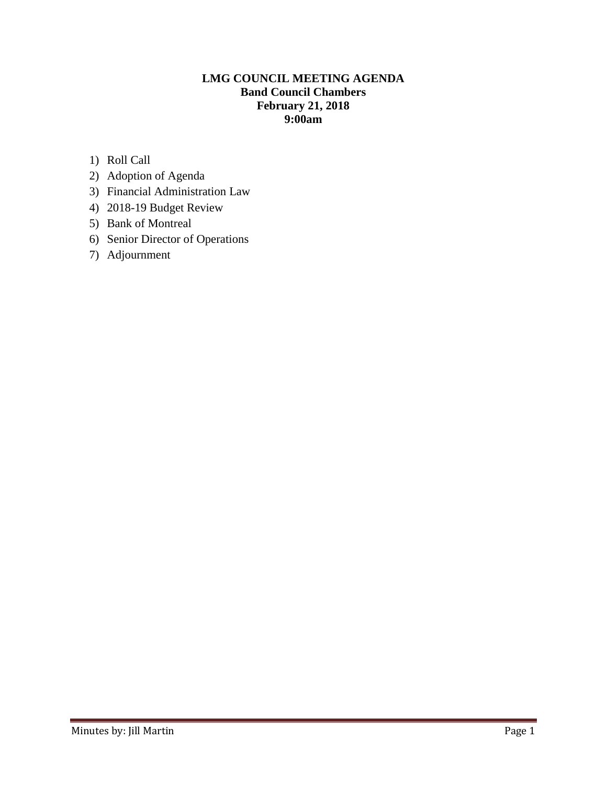# **LMG COUNCIL MEETING AGENDA Band Council Chambers February 21, 2018 9:00am**

- 1) Roll Call
- 2) Adoption of Agenda
- 3) Financial Administration Law
- 4) 2018-19 Budget Review
- 5) Bank of Montreal
- 6) Senior Director of Operations
- 7) Adjournment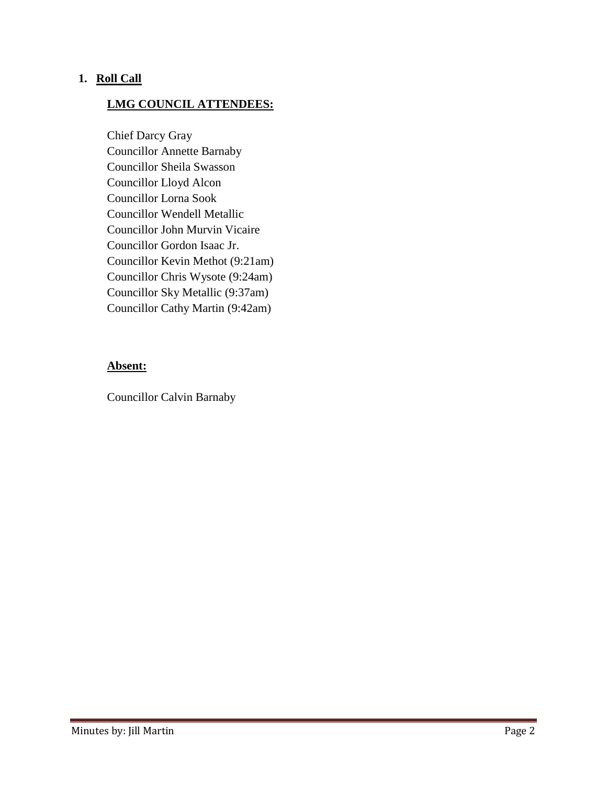#### **1. Roll Call**

### **LMG COUNCIL ATTENDEES:**

Chief Darcy Gray Councillor Annette Barnaby Councillor Sheila Swasson Councillor Lloyd Alcon Councillor Lorna Sook Councillor Wendell Metallic Councillor John Murvin Vicaire Councillor Gordon Isaac Jr. Councillor Kevin Methot (9:21am) Councillor Chris Wysote (9:24am) Councillor Sky Metallic (9:37am) Councillor Cathy Martin (9:42am)

#### **Absent:**

Councillor Calvin Barnaby